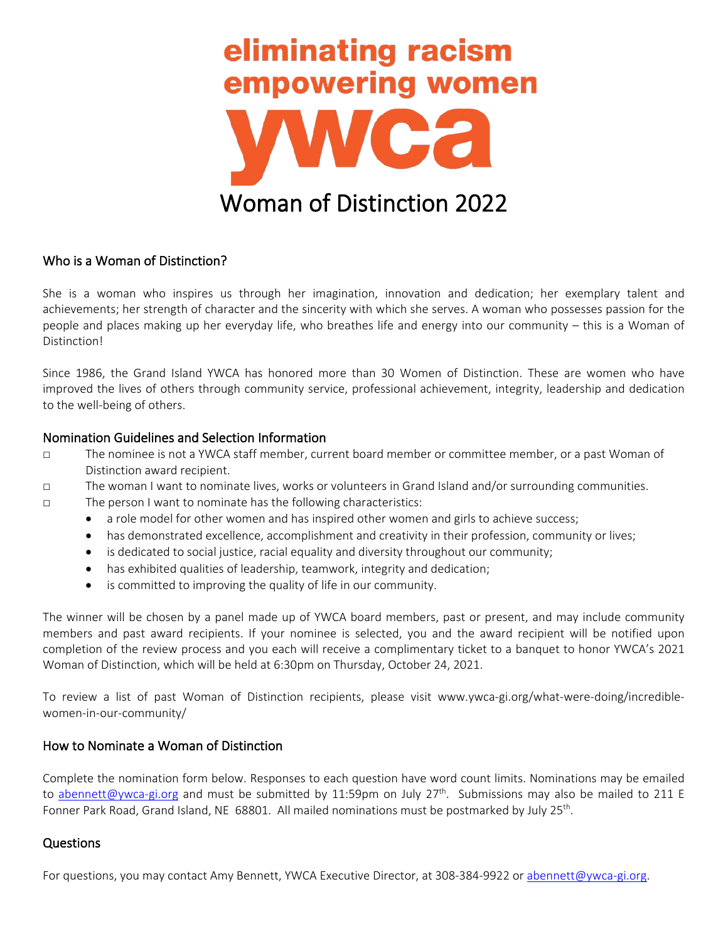

### Who is a Woman of Distinction?

She is a woman who inspires us through her imagination, innovation and dedication; her exemplary talent and achievements; her strength of character and the sincerity with which she serves. A woman who possesses passion for the people and places making up her everyday life, who breathes life and energy into our community – this is a Woman of Distinction!

Since 1986, the Grand Island YWCA has honored more than 30 Women of Distinction. These are women who have improved the lives of others through community service, professional achievement, integrity, leadership and dedication to the well-being of others.

### Nomination Guidelines and Selection Information

- □ The nominee is not a YWCA staff member, current board member or committee member, or a past Woman of Distinction award recipient.
- □ The woman I want to nominate lives, works or volunteers in Grand Island and/or surrounding communities.
- □ The person I want to nominate has the following characteristics:
	- a role model for other women and has inspired other women and girls to achieve success;
	- has demonstrated excellence, accomplishment and creativity in their profession, community or lives;
	- is dedicated to social justice, racial equality and diversity throughout our community;
	- has exhibited qualities of leadership, teamwork, integrity and dedication;
	- is committed to improving the quality of life in our community.

The winner will be chosen by a panel made up of YWCA board members, past or present, and may include community members and past award recipients. If your nominee is selected, you and the award recipient will be notified upon completion of the review process and you each will receive a complimentary ticket to a banquet to honor YWCA's 2021 Woman of Distinction, which will be held at 6:30pm on Thursday, October 24, 2021.

To review a list of past Woman of Distinction recipients, please visit www.ywca-gi.org/what-were-doing/incrediblewomen-in-our-community/

### How to Nominate a Woman of Distinction

Complete the nomination form below. Responses to each question have word count limits. Nominations may be emailed to [abennett@ywca-gi.org](mailto:abennett@ywca-gi.org) and must be submitted by 11:59pm on July 27<sup>th</sup>. Submissions may also be mailed to 211 E Fonner Park Road, Grand Island, NE 68801. All mailed nominations must be postmarked by July 25<sup>th</sup>.

### Questions

For questions, you may contact Amy Bennett, YWCA Executive Director, at 308-384-9922 or [abennett@ywca-gi.org.](mailto:abennett@ywca-gi.org)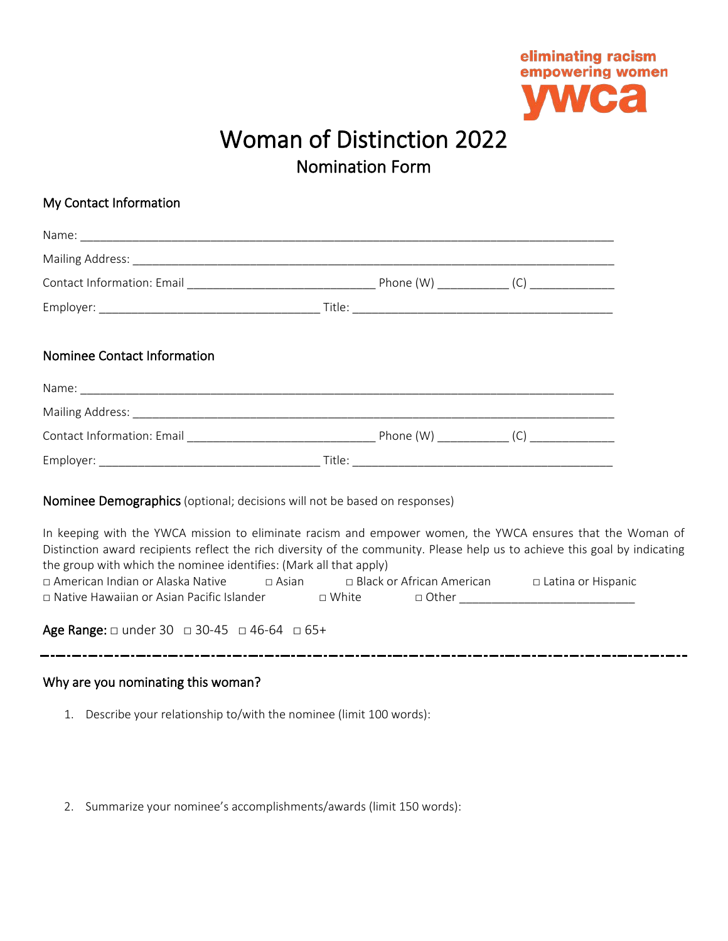

# Woman of Distinction 2022 Nomination Form

## My Contact Information

| <b>Nominee Contact Information</b> |  |  |
|------------------------------------|--|--|
|                                    |  |  |
|                                    |  |  |
|                                    |  |  |
|                                    |  |  |

### Nominee Demographics (optional; decisions will not be based on responses)

| In keeping with the YWCA mission to eliminate racism and empower women, the YWCA ensures that the Woman of                  |  |
|-----------------------------------------------------------------------------------------------------------------------------|--|
| Distinction award recipients reflect the rich diversity of the community. Please help us to achieve this goal by indicating |  |
| the group with which the nominee identifies: (Mark all that apply)                                                          |  |

| $\Box$ American Indian or Alaska Native          | $\Box$ Asian |         | □ Black or African American | □ Latina or Hispanic |
|--------------------------------------------------|--------------|---------|-----------------------------|----------------------|
| $\Box$ Native Hawaiian or Asian Pacific Islander |              | ∩ White | $\sqcap$ Other              |                      |

| Age Range: a under 30 a 30-45 a 46-64 a 65+ |
|---------------------------------------------|
|---------------------------------------------|

#### Why are you nominating this woman?

- 1. Describe your relationship to/with the nominee (limit 100 words):
- 2. Summarize your nominee's accomplishments/awards (limit 150 words):